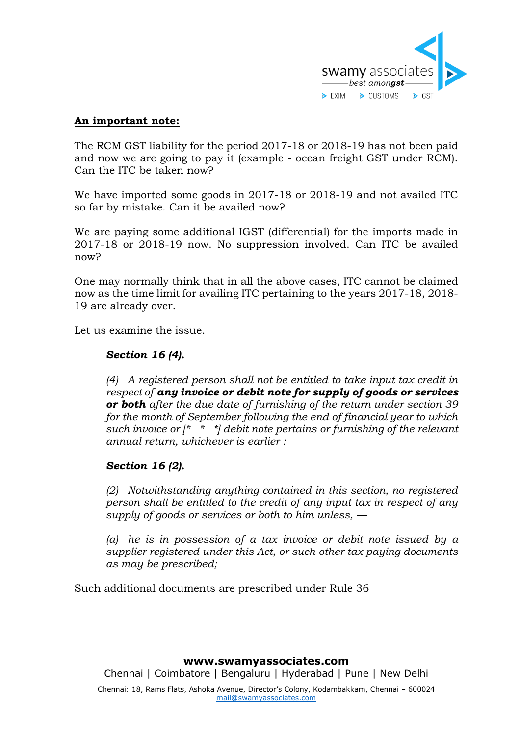

# **An important note:**

The RCM GST liability for the period 2017-18 or 2018-19 has not been paid and now we are going to pay it (example - ocean freight GST under RCM). Can the ITC be taken now?

We have imported some goods in 2017-18 or 2018-19 and not availed ITC so far by mistake. Can it be availed now?

We are paying some additional IGST (differential) for the imports made in 2017-18 or 2018-19 now. No suppression involved. Can ITC be availed now?

One may normally think that in all the above cases, ITC cannot be claimed now as the time limit for availing ITC pertaining to the years 2017-18, 2018- 19 are already over.

Let us examine the issue.

### *Section 16 (4).*

*(4) A registered person shall not be entitled to take input tax credit in respect of any invoice or debit note for supply of goods or services or both after the due date of furnishing of the return under section 39 for the month of September following the end of financial year to which such invoice or [\* \* \*] debit note pertains or furnishing of the relevant annual return, whichever is earlier :*

## *Section 16 (2).*

*(2) Notwithstanding anything contained in this section, no registered person shall be entitled to the credit of any input tax in respect of any supply of goods or services or both to him unless, —*

*(a) he is in possession of a tax invoice or debit note issued by a supplier registered under this Act, or such other tax paying documents as may be prescribed;*

Such additional documents are prescribed under Rule 36

#### **www.swamyassociates.com**

Chennai | Coimbatore | Bengaluru | Hyderabad | Pune | New Delhi

Chennai: 18, Rams Flats, Ashoka Avenue, Director's Colony, Kodambakkam, Chennai – 600024 [mail@swamyassociates.com](mailto:mail@swamyassociates.com)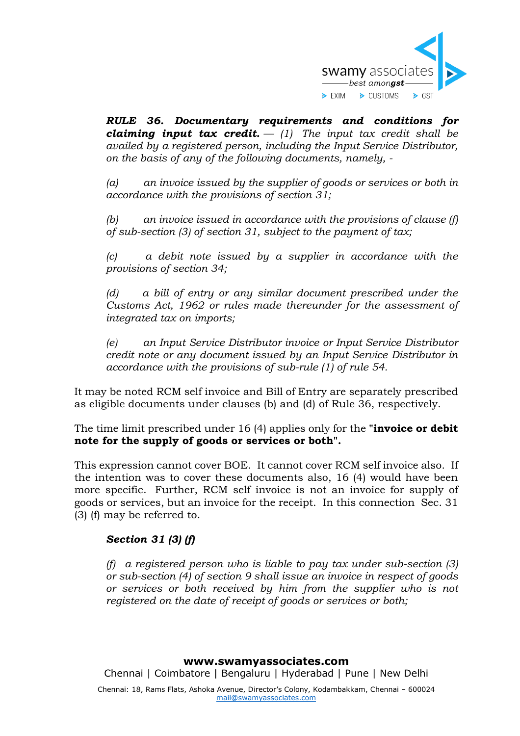

*RULE 36. Documentary requirements and conditions for claiming input tax credit.*  $- (1)$  *The input tax credit shall be availed by a registered person, including the Input Service Distributor, on the basis of any of the following documents, namely, -*

*(a) an invoice issued by the supplier of goods or services or both in accordance with the provisions of section 31;*

*(b) an invoice issued in accordance with the provisions of clause (f) of sub-section (3) of section 31, subject to the payment of tax;*

*(c) a debit note issued by a supplier in accordance with the provisions of section 34;*

*(d) a bill of entry or any similar document prescribed under the Customs Act, 1962 or rules made thereunder for the assessment of integrated tax on imports;*

*(e) an Input Service Distributor invoice or Input Service Distributor credit note or any document issued by an Input Service Distributor in accordance with the provisions of sub-rule (1) of rule 54.*

It may be noted RCM self invoice and Bill of Entry are separately prescribed as eligible documents under clauses (b) and (d) of Rule 36, respectively.

The time limit prescribed under 16 (4) applies only for the **"invoice or debit note for the supply of goods or services or both".**

This expression cannot cover BOE. It cannot cover RCM self invoice also. If the intention was to cover these documents also, 16 (4) would have been more specific. Further, RCM self invoice is not an invoice for supply of goods or services, but an invoice for the receipt. In this connection Sec. 31 (3) (f) may be referred to.

## *Section 31 (3) (f)*

*(f) a registered person who is liable to pay tax under sub-section (3) or sub-section (4) of section 9 shall issue an invoice in respect of goods or services or both received by him from the supplier who is not registered on the date of receipt of goods or services or both;*

#### **www.swamyassociates.com**

Chennai | Coimbatore | Bengaluru | Hyderabad | Pune | New Delhi